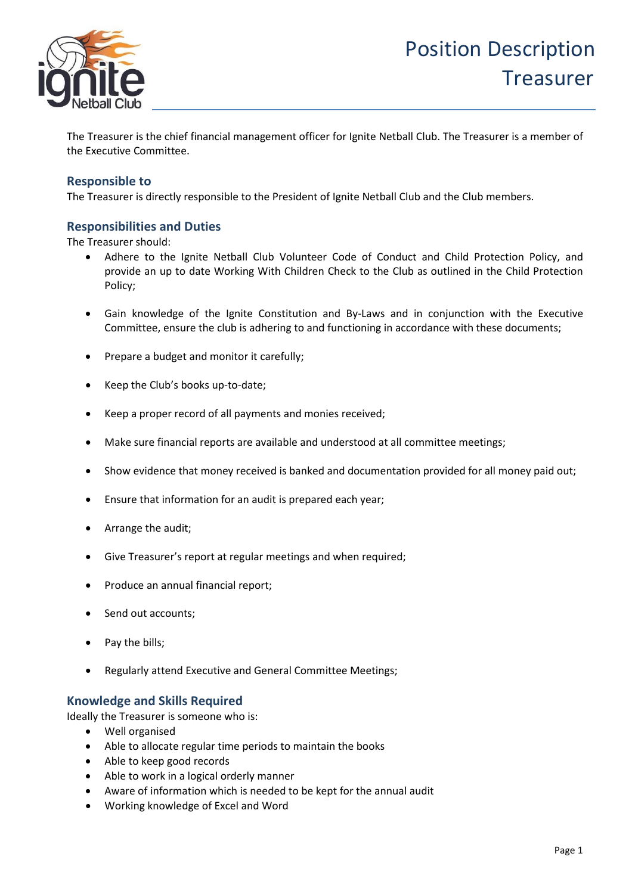

The Treasurer is the chief financial management officer for Ignite Netball Club. The Treasurer is a member of the Executive Committee.

### **Responsible to**

The Treasurer is directly responsible to the President of Ignite Netball Club and the Club members.

### **Responsibilities and Duties**

The Treasurer should:

- Adhere to the Ignite Netball Club Volunteer Code of Conduct and Child Protection Policy, and provide an up to date Working With Children Check to the Club as outlined in the Child Protection Policy;
- Gain knowledge of the Ignite Constitution and By-Laws and in conjunction with the Executive Committee, ensure the club is adhering to and functioning in accordance with these documents;
- Prepare a budget and monitor it carefully;
- Keep the Club's books up-to-date;
- Keep a proper record of all payments and monies received;
- Make sure financial reports are available and understood at all committee meetings;
- Show evidence that money received is banked and documentation provided for all money paid out;
- Ensure that information for an audit is prepared each year;
- Arrange the audit;
- Give Treasurer's report at regular meetings and when required;
- Produce an annual financial report;
- Send out accounts;
- Pay the bills;
- Regularly attend Executive and General Committee Meetings;

## **Knowledge and Skills Required**

Ideally the Treasurer is someone who is:

- Well organised
- Able to allocate regular time periods to maintain the books
- Able to keep good records
- Able to work in a logical orderly manner
- Aware of information which is needed to be kept for the annual audit
- Working knowledge of Excel and Word